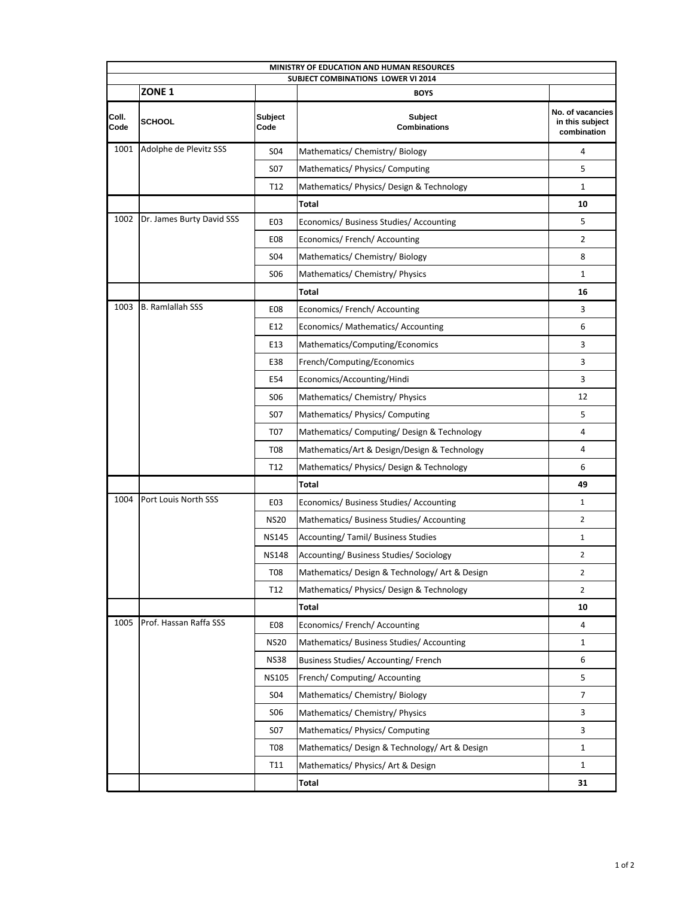| MINISTRY OF EDUCATION AND HUMAN RESOURCES |                           |                  |                                                          |                                                    |  |  |  |
|-------------------------------------------|---------------------------|------------------|----------------------------------------------------------|----------------------------------------------------|--|--|--|
|                                           | ZONE <sub>1</sub>         |                  | <b>SUBJECT COMBINATIONS LOWER VI 2014</b><br><b>BOYS</b> |                                                    |  |  |  |
|                                           |                           |                  |                                                          |                                                    |  |  |  |
| Coll.<br>Code                             | <b>SCHOOL</b>             | Subject<br>Code  | Subject<br><b>Combinations</b>                           | No. of vacancies<br>in this subject<br>combination |  |  |  |
| 1001                                      | Adolphe de Plevitz SSS    | <b>SO4</b>       | Mathematics/ Chemistry/ Biology                          | 4                                                  |  |  |  |
|                                           |                           | S <sub>07</sub>  | Mathematics/ Physics/ Computing                          | 5                                                  |  |  |  |
|                                           |                           | T12              | Mathematics/ Physics/ Design & Technology                | $\mathbf{1}$                                       |  |  |  |
|                                           |                           |                  | Total                                                    | 10                                                 |  |  |  |
| 1002                                      | Dr. James Burty David SSS | E <sub>0</sub> 3 | Economics/ Business Studies/ Accounting                  | 5                                                  |  |  |  |
|                                           |                           | E <sub>08</sub>  | Economics/ French/ Accounting                            | 2                                                  |  |  |  |
|                                           |                           | S <sub>04</sub>  | Mathematics/ Chemistry/ Biology                          | 8                                                  |  |  |  |
|                                           |                           | S <sub>06</sub>  | Mathematics/ Chemistry/ Physics                          | $\mathbf{1}$                                       |  |  |  |
|                                           |                           |                  | Total                                                    | 16                                                 |  |  |  |
| 1003                                      | <b>B. Ramlallah SSS</b>   | E08              | Economics/ French/ Accounting                            | 3                                                  |  |  |  |
|                                           |                           | E12              | Economics/ Mathematics/ Accounting                       | 6                                                  |  |  |  |
|                                           |                           | E13              | Mathematics/Computing/Economics                          | 3                                                  |  |  |  |
|                                           |                           | E38              | French/Computing/Economics                               | 3                                                  |  |  |  |
|                                           |                           | E54              | Economics/Accounting/Hindi                               | 3                                                  |  |  |  |
|                                           |                           | <b>SO6</b>       | Mathematics/ Chemistry/ Physics                          | 12                                                 |  |  |  |
|                                           |                           | S07              | Mathematics/ Physics/ Computing                          | 5                                                  |  |  |  |
|                                           |                           | T <sub>0</sub> 7 | Mathematics/ Computing/ Design & Technology              | 4                                                  |  |  |  |
|                                           |                           | <b>T08</b>       | Mathematics/Art & Design/Design & Technology             | 4                                                  |  |  |  |
|                                           |                           | T12              | Mathematics/ Physics/ Design & Technology                | 6                                                  |  |  |  |
|                                           |                           |                  | <b>Total</b>                                             | 49                                                 |  |  |  |
| 1004                                      | Port Louis North SSS      | EO3              | Economics/ Business Studies/ Accounting                  | $\mathbf{1}$                                       |  |  |  |
|                                           |                           | <b>NS20</b>      | Mathematics/ Business Studies/ Accounting                | 2                                                  |  |  |  |
|                                           |                           | <b>NS145</b>     | Accounting/ Tamil/ Business Studies                      | $\mathbf{1}$                                       |  |  |  |
|                                           |                           | <b>NS148</b>     | Accounting/Business Studies/Sociology                    | $\overline{2}$                                     |  |  |  |
|                                           |                           | <b>T08</b>       | Mathematics/ Design & Technology/ Art & Design           | $\overline{2}$                                     |  |  |  |
|                                           |                           | T12              | Mathematics/ Physics/ Design & Technology                | $\overline{2}$                                     |  |  |  |
|                                           |                           |                  | <b>Total</b>                                             | 10                                                 |  |  |  |
| 1005                                      | Prof. Hassan Raffa SSS    | E08              | Economics/ French/ Accounting                            | 4                                                  |  |  |  |
|                                           |                           | <b>NS20</b>      | Mathematics/ Business Studies/ Accounting                | $\mathbf{1}$                                       |  |  |  |
|                                           |                           | <b>NS38</b>      | Business Studies/ Accounting/ French                     | 6                                                  |  |  |  |
|                                           |                           | <b>NS105</b>     | French/ Computing/ Accounting                            | 5                                                  |  |  |  |
|                                           |                           | S04              | Mathematics/ Chemistry/ Biology                          | 7                                                  |  |  |  |
|                                           |                           | <b>SO6</b>       | Mathematics/ Chemistry/ Physics                          | 3                                                  |  |  |  |
|                                           |                           | S07              | Mathematics/ Physics/ Computing                          | 3                                                  |  |  |  |
|                                           |                           | <b>T08</b>       | Mathematics/Design & Technology/Art & Design             | $\mathbf{1}$                                       |  |  |  |
|                                           |                           | T11              | Mathematics/ Physics/ Art & Design                       | $\mathbf{1}$                                       |  |  |  |
|                                           |                           |                  | Total                                                    | 31                                                 |  |  |  |